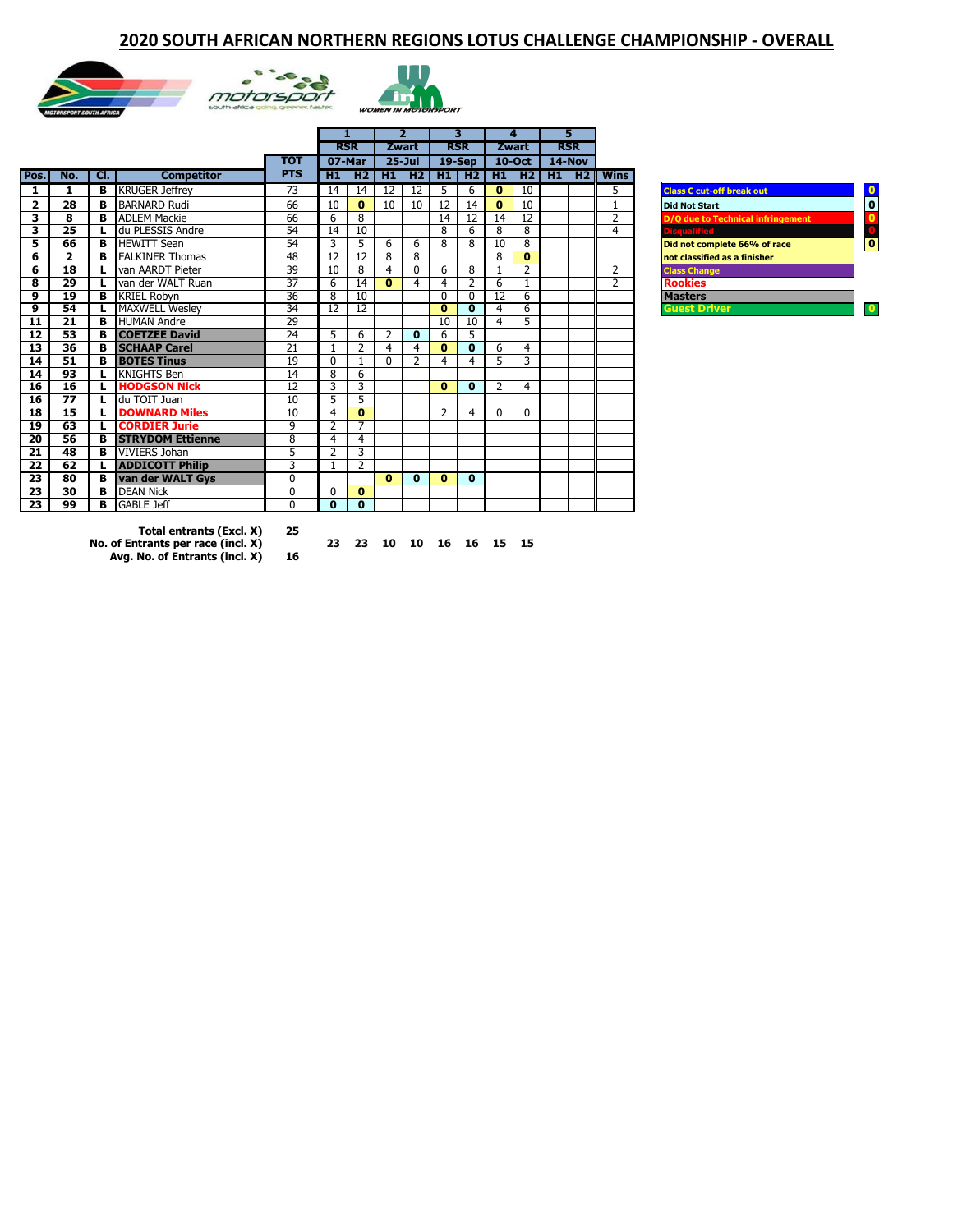#### **2020 SOUTH AFRICAN NORTHERN REGIONS LOTUS CHALLENGE CHAMPIONSHIP - OVERALL**







| тот<br><b>PTS</b><br>Cl.<br><b>Competitor</b><br>H1<br>Pos.<br>No.<br><b>KRUGER Jeffrey</b><br>73<br>в<br>14<br>1<br>1<br><b>BARNARD Rudi</b><br>66<br>10<br>$\mathbf{2}$<br>28<br>B<br>66<br>3<br>8<br><b>ADLEM Mackie</b><br>в<br>6<br>3<br>25<br>54<br>du PLESSIS Andre<br>14<br>L<br>54<br>5<br>66<br><b>HEWITT Sean</b><br>3<br>в<br><b>FALKINER Thomas</b><br>48<br>6<br>$\overline{2}$<br>12<br>в<br>18<br>39<br>6<br>van AARDT Pieter<br>10<br>37<br>8<br>29<br>van der WALT Ruan<br>6<br>L | <b>RSR</b><br>07-Mar | 14<br>$\mathbf{0}$<br>8<br>10<br>5 | <b>Zwart</b><br>$25 -$ Jul<br>$H2$   $H1$<br>12<br>10 | H2<br>12<br>10 | <b>RSR</b><br>$19-$ Sep<br>H1<br>5<br>12 | H2 <sub>1</sub><br>6 | <b>Zwart</b><br>$10-Oct$<br>H1<br>$\mathbf{0}$ | 10             | <b>RSR</b><br>14-Nov<br>$H2$ $H1$ $H2$ | <b>Wins</b>    |                                                         |
|-----------------------------------------------------------------------------------------------------------------------------------------------------------------------------------------------------------------------------------------------------------------------------------------------------------------------------------------------------------------------------------------------------------------------------------------------------------------------------------------------------|----------------------|------------------------------------|-------------------------------------------------------|----------------|------------------------------------------|----------------------|------------------------------------------------|----------------|----------------------------------------|----------------|---------------------------------------------------------|
|                                                                                                                                                                                                                                                                                                                                                                                                                                                                                                     |                      |                                    |                                                       |                |                                          |                      |                                                |                |                                        |                |                                                         |
|                                                                                                                                                                                                                                                                                                                                                                                                                                                                                                     |                      |                                    |                                                       |                |                                          |                      |                                                |                |                                        |                |                                                         |
|                                                                                                                                                                                                                                                                                                                                                                                                                                                                                                     |                      |                                    |                                                       |                |                                          |                      |                                                |                |                                        |                |                                                         |
|                                                                                                                                                                                                                                                                                                                                                                                                                                                                                                     |                      |                                    |                                                       |                |                                          |                      |                                                |                |                                        | 5              | - 0<br><b>Class C cut-off break out</b>                 |
|                                                                                                                                                                                                                                                                                                                                                                                                                                                                                                     |                      |                                    |                                                       |                |                                          | 14                   | $\mathbf{0}$                                   | 10             |                                        | $\mathbf{1}$   | <b>0</b><br><b>Did Not Start</b>                        |
|                                                                                                                                                                                                                                                                                                                                                                                                                                                                                                     |                      |                                    |                                                       |                | 14                                       | 12                   | 14                                             | 12             |                                        | $\overline{2}$ | <b>D/O due to Technical infringement</b>                |
|                                                                                                                                                                                                                                                                                                                                                                                                                                                                                                     |                      |                                    |                                                       |                | 8                                        | 6                    | 8                                              | 8              |                                        | $\overline{4}$ | <b>Disqualified</b>                                     |
|                                                                                                                                                                                                                                                                                                                                                                                                                                                                                                     |                      |                                    | 6                                                     | 6              | 8                                        | 8                    | 10                                             | 8              |                                        |                | $\overline{\mathbf{0}}$<br>Did not complete 66% of race |
|                                                                                                                                                                                                                                                                                                                                                                                                                                                                                                     |                      | 12                                 | 8                                                     | 8              |                                          |                      | 8                                              | $\bf{0}$       |                                        |                | not classified as a finisher                            |
|                                                                                                                                                                                                                                                                                                                                                                                                                                                                                                     |                      | 8                                  | 4                                                     | $\Omega$       | 6                                        | 8                    | 1                                              | 2              |                                        | $\overline{2}$ | <b>Class Change</b>                                     |
|                                                                                                                                                                                                                                                                                                                                                                                                                                                                                                     |                      | 14                                 | $\mathbf{0}$                                          | 4              | 4                                        | 2                    | 6                                              | 1              |                                        | $\overline{2}$ | <b>Rookies</b>                                          |
| 36<br>19<br>9<br><b>KRIEL Robyn</b><br>8<br>в                                                                                                                                                                                                                                                                                                                                                                                                                                                       |                      | 10                                 |                                                       |                | $\mathbf{0}$                             | $\mathbf{0}$         | 12                                             | 6              |                                        |                | <b>Masters</b>                                          |
| 34<br>9<br>54<br><b>MAXWELL Weslev</b><br>12<br>L                                                                                                                                                                                                                                                                                                                                                                                                                                                   |                      | 12                                 |                                                       |                | $\bf{0}$                                 | $\bf{0}$             | 4                                              | 6              |                                        |                | <b>Guest Driver</b><br>$\overline{\mathbf{0}}$          |
| 29<br>$\overline{21}$<br>11<br><b>HUMAN Andre</b><br>в                                                                                                                                                                                                                                                                                                                                                                                                                                              |                      |                                    |                                                       |                | 10                                       | 10                   | $\overline{4}$                                 | $\overline{5}$ |                                        |                |                                                         |
| 53<br>24<br>5<br>12<br><b>COETZEE David</b><br>в                                                                                                                                                                                                                                                                                                                                                                                                                                                    |                      | 6                                  | $\overline{2}$                                        | $\mathbf{0}$   | 6                                        | 5                    |                                                |                |                                        |                |                                                         |
| 36<br>21<br>13<br>B<br><b>SCHAAP Carel</b>                                                                                                                                                                                                                                                                                                                                                                                                                                                          |                      | $\overline{2}$                     | $\overline{4}$                                        | 4              | $\bf{0}$                                 | $\mathbf{0}$         | 6                                              | $\overline{4}$ |                                        |                |                                                         |
| 51<br><b>BOTES Tinus</b><br>19<br>14<br>в<br>$\Omega$                                                                                                                                                                                                                                                                                                                                                                                                                                               |                      | -1                                 | $\Omega$                                              | 2              | 4                                        | 4                    | 5                                              | 3              |                                        |                |                                                         |
| 93<br><b>KNIGHTS Ben</b><br>14<br>8<br>14<br>L                                                                                                                                                                                                                                                                                                                                                                                                                                                      |                      | 6                                  |                                                       |                |                                          |                      |                                                |                |                                        |                |                                                         |
| 16<br><b>HODGSON Nick</b><br>12<br>16<br>3<br>L                                                                                                                                                                                                                                                                                                                                                                                                                                                     |                      | $\overline{3}$                     |                                                       |                | $\bf{0}$                                 | $\bf{0}$             | 2                                              | 4              |                                        |                |                                                         |
| $\overline{77}$<br>5<br>10<br>16<br>du TOIT Juan<br>L                                                                                                                                                                                                                                                                                                                                                                                                                                               |                      | 5                                  |                                                       |                |                                          |                      |                                                |                |                                        |                |                                                         |
| 15<br><b>DOWNARD Miles</b><br>18<br>10<br>4<br>L                                                                                                                                                                                                                                                                                                                                                                                                                                                    |                      | $\mathbf{0}$                       |                                                       |                | $\overline{2}$                           | 4                    | $\mathbf{0}$                                   | $\mathbf{0}$   |                                        |                |                                                         |
| 19<br>63<br>9<br><b>CORDIER Jurie</b><br>$\overline{2}$<br>L.                                                                                                                                                                                                                                                                                                                                                                                                                                       |                      | 7                                  |                                                       |                |                                          |                      |                                                |                |                                        |                |                                                         |
| 8<br>20<br>56<br><b>STRYDOM Ettienne</b><br>$\overline{4}$<br>в                                                                                                                                                                                                                                                                                                                                                                                                                                     |                      | 4                                  |                                                       |                |                                          |                      |                                                |                |                                        |                |                                                         |
| 5<br>$\overline{21}$<br>48<br><b>VIVIERS Johan</b><br>в<br>$\overline{2}$                                                                                                                                                                                                                                                                                                                                                                                                                           |                      | 3                                  |                                                       |                |                                          |                      |                                                |                |                                        |                |                                                         |
| 22<br>62<br>3<br><b>ADDICOTT Philip</b><br>L<br>1                                                                                                                                                                                                                                                                                                                                                                                                                                                   |                      | $\overline{2}$                     |                                                       |                |                                          |                      |                                                |                |                                        |                |                                                         |
| $\overline{23}$<br>80<br>van der WALT Gys<br>0<br>в                                                                                                                                                                                                                                                                                                                                                                                                                                                 |                      |                                    | $\mathbf{0}$                                          | $\mathbf{0}$   | $\bf{0}$                                 | $\mathbf{0}$         |                                                |                |                                        |                |                                                         |
| 30<br><b>DEAN Nick</b><br>0<br>23<br>в<br>$\Omega$                                                                                                                                                                                                                                                                                                                                                                                                                                                  |                      | $\mathbf{0}$                       |                                                       |                |                                          |                      |                                                |                |                                        |                |                                                         |
| 23<br>99<br><b>GABLE Jeff</b><br>0<br>в<br>$\mathbf{0}$                                                                                                                                                                                                                                                                                                                                                                                                                                             |                      | $\mathbf{0}$                       |                                                       |                |                                          |                      |                                                |                |                                        |                |                                                         |

| <b>Class C cut-off break out</b>  |  |
|-----------------------------------|--|
| <b>Did Not Start</b>              |  |
| D/O due to Technical infringement |  |
| <b>Disqualified</b>               |  |
| Did not complete 66% of race      |  |
| not classified as a finisher      |  |
| <b>Class Change</b>               |  |
| <b>Rookies</b>                    |  |
| <b>Masters</b>                    |  |
| <b>Guest Driver</b>               |  |

**Total entrants (Excl. X) 25** 0 0 0 0 0 0 0 0 0 0

**Avg. No. of Entrants (incl. X) 16**

**No. of Entrants per race (incl. X) 23 23 10 10 16 16 15 15 0 0**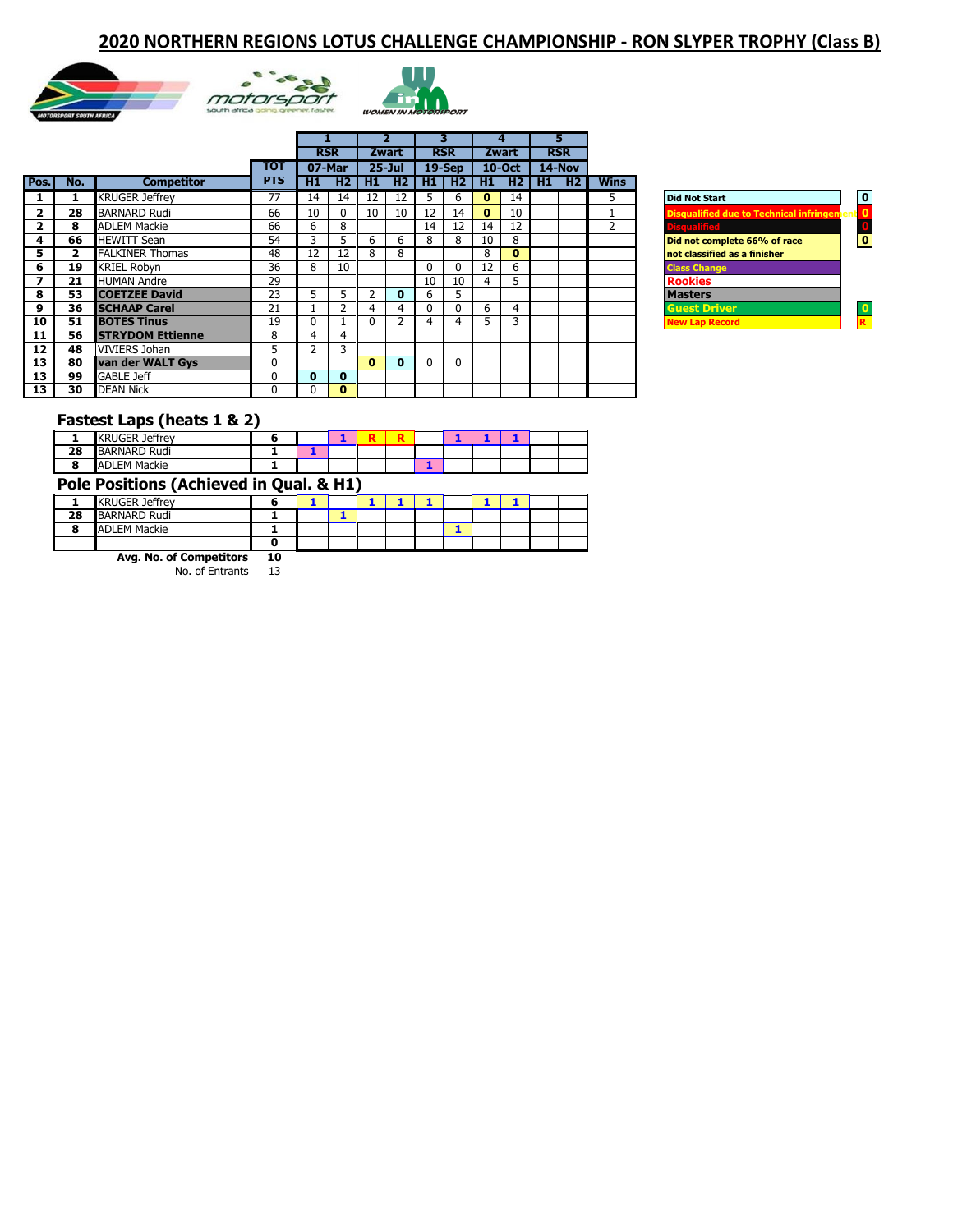#### **2020 NORTHERN REGIONS LOTUS CHALLENGE CHAMPIONSHIP - RON SLYPER TROPHY (Class B)**







|                         |     |                         |            |    |              |              |            |                  |              |                | 4            | 5          |             |                                                   |
|-------------------------|-----|-------------------------|------------|----|--------------|--------------|------------|------------------|--------------|----------------|--------------|------------|-------------|---------------------------------------------------|
|                         |     |                         |            |    | <b>RSR</b>   |              | Zwart      |                  | <b>RSR</b>   |                | Zwart        | <b>RSR</b> |             |                                                   |
|                         |     |                         | тот        |    | 07-Mar       |              | $25 -$ Jul |                  | $19-$ Sep    |                | $10$ -Oct    | 14-Nov     |             |                                                   |
| Pos.                    | No. | <b>Competitor</b>       | <b>PTS</b> | H1 |              | $H2$ $H1$    |            | <b>H2   H1  </b> |              | <b>H2 I H1</b> | <b>H2 H1</b> | H2         | <b>Wins</b> |                                                   |
|                         |     | <b>KRUGER Jeffrey</b>   | 77         | 14 | 14           | 12           | 12         | 5.               | b            | $\mathbf{0}$   | 14           |            | ∍           | $\mathbf 0$<br><b>Did Not Start</b>               |
| $\overline{\mathbf{2}}$ | 28  | <b>BARNARD Rudi</b>     | 66         | 10 | <sup>0</sup> | 10           | 10         | 12               | 14           | $\mathbf{0}$   | 10           |            |             | <b>Disqualified due to Technical infringement</b> |
| 2                       | 8   | <b>ADLEM Mackie</b>     | 66         | 6  | 8            |              |            | 14               | 12           | 14             | 12           |            | h           | <b>Disqualified</b>                               |
| 4                       | 66  | <b>HEWITT Sean</b>      | 54         | 3  | 5            | 6            | 6          | 8                | 8            | 10             | 8            |            |             | O<br>Did not complete 66% of race                 |
| 5                       |     | <b>FALKINER Thomas</b>  | 48         | 12 | 12           | 8            | 8          |                  |              | 8              | $\bf{0}$     |            |             | not classified as a finisher                      |
| 6                       | 19  | <b>KRIEL Robyn</b>      | 36         | 8  | 10           |              |            | 0                | 0            | 12             | 6            |            |             | <b>Class Change</b>                               |
| 7                       | 21  | <b>HUMAN Andre</b>      | 29         |    |              |              |            | 10               | 10           | 4              | 5            |            |             | <b>Rookies</b>                                    |
| 8                       | 53  | <b>COETZEE David</b>    | 23         | 5. |              |              | $\bf{0}$   | 6                | 5            |                |              |            |             | <b>Masters</b>                                    |
| 9                       | 36  | <b>SCHAAP Carel</b>     | 21         |    |              |              | 4          | 0                | $\mathbf{0}$ | 6              | 4            |            |             | <b>Guest Driver</b>                               |
| 10                      | 51  | <b>BOTES Tinus</b>      | 19         | 0  |              | 0            |            | 4                | 4            | 5.             | 3            |            |             | R<br><b>New Lap Record</b>                        |
| 11                      | 56  | <b>STRYDOM Ettienne</b> | 8          | 4  | 4            |              |            |                  |              |                |              |            |             |                                                   |
| 12                      | 48  | <b>VIVIERS Johan</b>    | 5          |    | 3            |              |            |                  |              |                |              |            |             |                                                   |
| 13                      | 80  | van der WALT Gys        | $\Omega$   |    |              | $\mathbf{0}$ | $\bf{0}$   | 0                | $\Omega$     |                |              |            |             |                                                   |
| 13                      | 99  | <b>GABLE Jeff</b>       | 0          | 0  | 0            |              |            |                  |              |                |              |            |             |                                                   |
| 13                      | 30  | <b>DEAN Nick</b>        | 0          |    | $\mathbf{0}$ |              |            |                  |              |                |              |            |             |                                                   |

| <b>Did Not Start</b>                              |   |
|---------------------------------------------------|---|
| <b>Disqualified due to Technical infringement</b> | 0 |
| <b>Disqualified</b>                               | C |
| Did not complete 66% of race                      |   |
| not classified as a finisher                      |   |
| <b>Class Change</b>                               |   |
| <b>Rookies</b>                                    |   |
| <b>Masters</b>                                    |   |
| <b>Guest Driver</b>                               |   |
| <b>New Lap Record</b>                             |   |
|                                                   |   |

#### **Fastest Laps (heats 1 & 2)**

|    | <b>KRUGER Jeffrey</b>                   |  |  | R |  |  |  |
|----|-----------------------------------------|--|--|---|--|--|--|
| 28 | <b>BARNARD Rudi</b>                     |  |  |   |  |  |  |
|    | <b>ADLEM Mackie</b>                     |  |  |   |  |  |  |
|    | Pole Positions (Achieved in Qual. & H1) |  |  |   |  |  |  |
|    | <b>KRUGER Jeffrey</b>                   |  |  |   |  |  |  |
| 28 | <b>BARNARD Rudi</b>                     |  |  |   |  |  |  |
|    | <b>ADLEM Mackie</b>                     |  |  |   |  |  |  |
|    |                                         |  |  |   |  |  |  |

**Avg. No. of Competitors 10** 13 13 8 8 10 10 9 9 0 0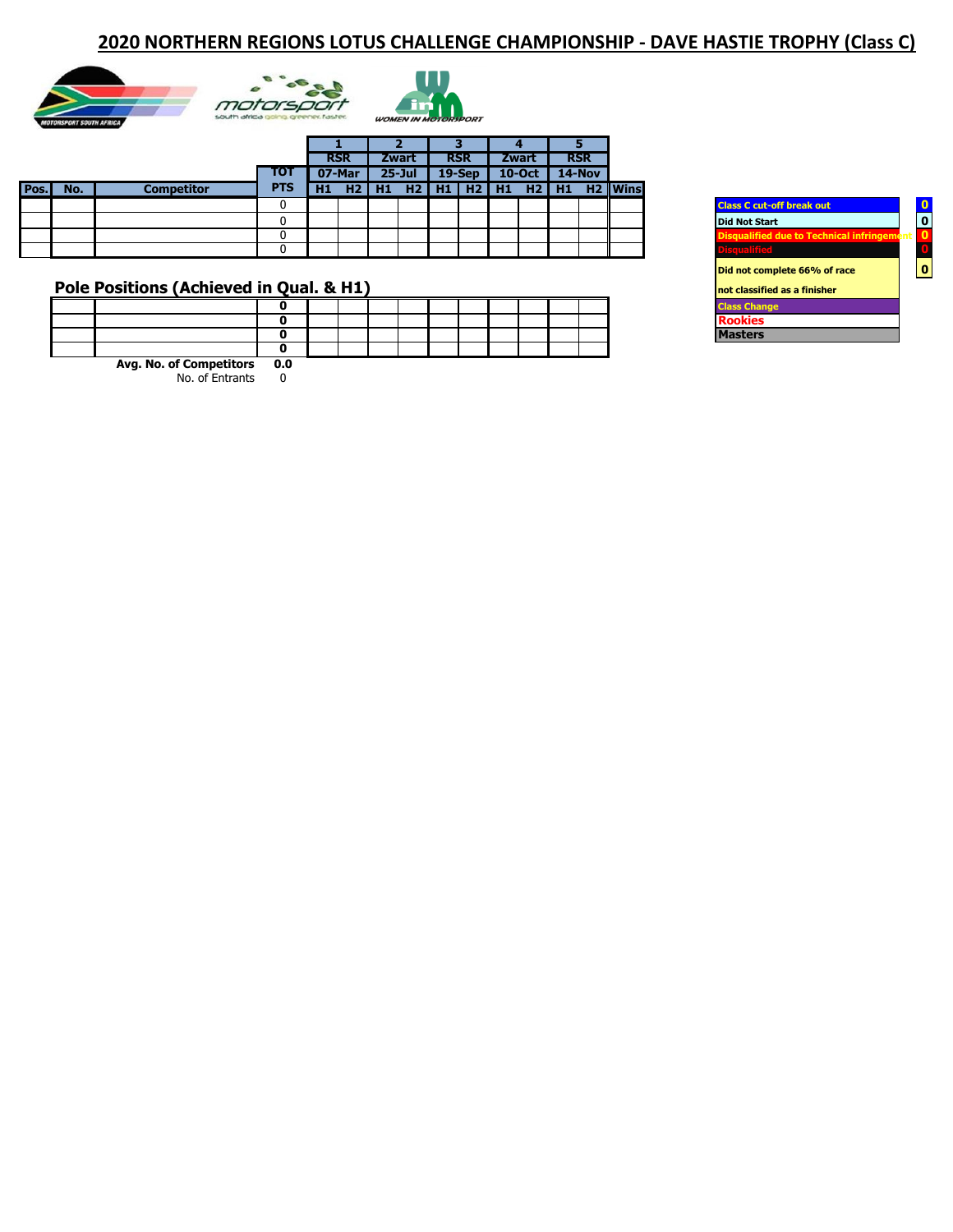# **2020 NORTHERN REGIONS LOTUS CHALLENGE CHAMPIONSHIP - DAVE HASTIE TROPHY (Class C)**







|      |     |            |            |    | <b>RSR</b> |     | <b>Zwart</b>    |    | <b>RSR</b> |           | <b>Zwart</b> |    | <b>RSR</b> |                     |
|------|-----|------------|------------|----|------------|-----|-----------------|----|------------|-----------|--------------|----|------------|---------------------|
|      |     |            | тот        |    | 07-Mar     |     | $25 -$ Jul      |    | $19-$ Sep  |           | $10$ -Oct    |    | 14-Nov     |                     |
| Pos. | No. | Competitor | <b>PTS</b> | Н1 | H2         | -H1 | H2 <sub>1</sub> | H1 |            | $H2$   H1 | H2           | H1 |            | H <sub>2</sub> Wins |
|      |     |            |            |    |            |     |                 |    |            |           |              |    |            |                     |
|      |     |            |            |    |            |     |                 |    |            |           |              |    |            |                     |
|      |     |            |            |    |            |     |                 |    |            |           |              |    |            |                     |
|      |     |            |            |    |            |     |                 |    |            |           |              |    |            |                     |

# **Pole Positions (Achieved in Qual. & H1)**

| Avg. No. of Competitors 0.0 |  |  |  |  |  |  |
|-----------------------------|--|--|--|--|--|--|

| <b>Class C cut-off break out</b>                  |    |
|---------------------------------------------------|----|
| <b>Did Not Start</b>                              |    |
| <b>Disqualified due to Technical infringement</b> | 0  |
| <b>Disqualified</b>                               | 'n |
| Did not complete 66% of race                      |    |
| not classified as a finisher                      |    |
| <b>Class Change</b>                               |    |
| <b>Rookies</b>                                    |    |
| asters                                            |    |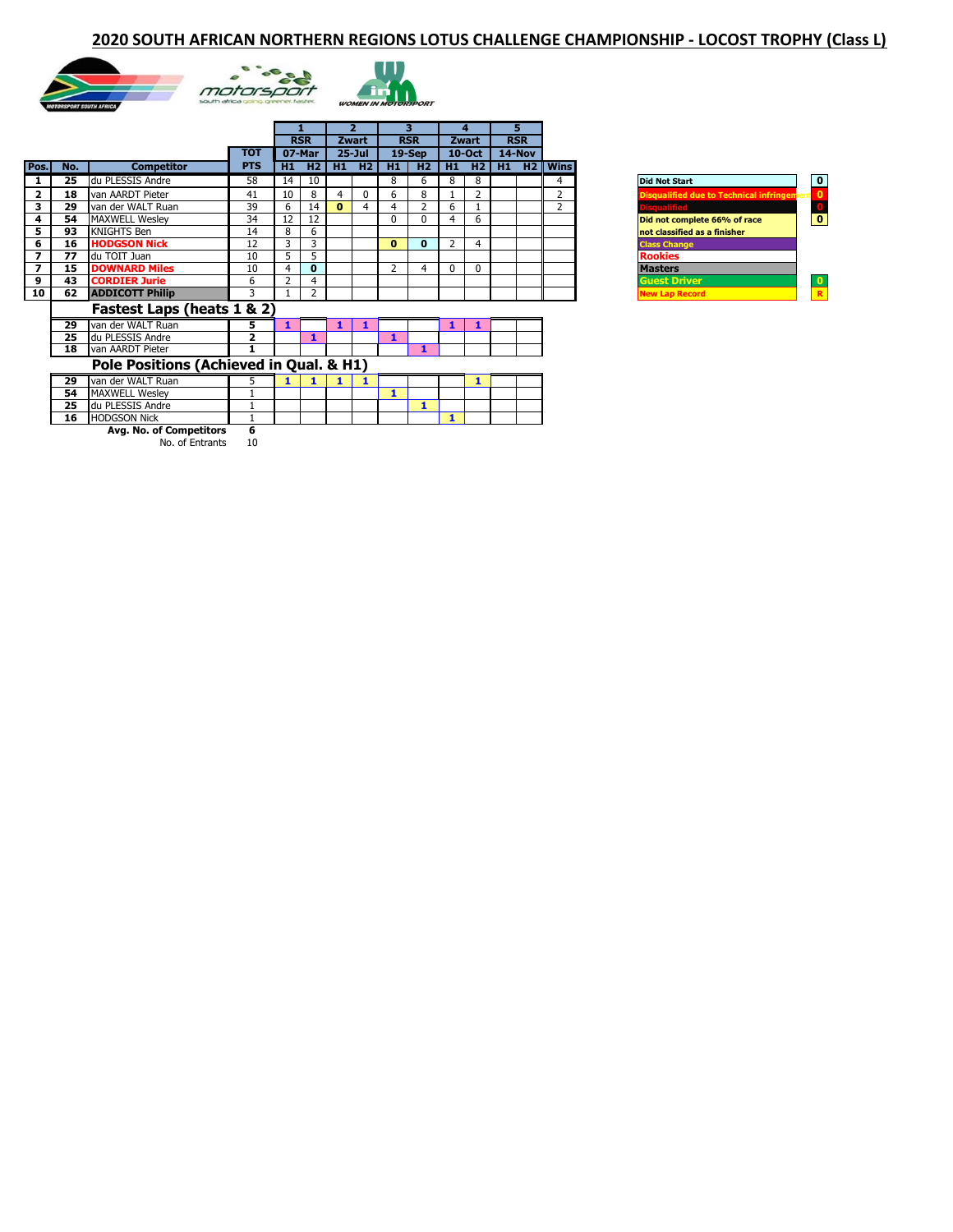### **2020 SOUTH AFRICAN NORTHERN REGIONS LOTUS CHALLENGE CHAMPIONSHIP - LOCOST TROPHY (Class L)**





|                         |     |                                         |            |                |              |              | 2          |                | 3.           |                | 4              | 5          |                                                                     |  |
|-------------------------|-----|-----------------------------------------|------------|----------------|--------------|--------------|------------|----------------|--------------|----------------|----------------|------------|---------------------------------------------------------------------|--|
|                         |     |                                         |            |                | <b>RSR</b>   |              | Zwart      |                | <b>RSR</b>   |                | Zwart          | <b>RSR</b> |                                                                     |  |
|                         |     |                                         | тот        |                | 07-Mar       |              | $25 -$ Jul |                | 19-Sep       |                | $10-Oct$       | 14-Nov     |                                                                     |  |
| Pos.                    | No. | <b>Competitor</b>                       | <b>PTS</b> | H1             | H2           | H1           | H2         | H1             | H2           | H1             | H2             | $H1$ $H2$  | <b>Wins</b>                                                         |  |
|                         | 25  | du PLESSIS Andre                        | 58         | 14             | 10           |              |            | 8              | 6            | 8              | 8              |            | 4<br><b>Did Not Start</b>                                           |  |
| $\overline{2}$          | 18  | van AARDT Pieter                        | 41         | 10             | 8            | 4            | 0          | 6              | 8            |                | $\overline{2}$ |            | $\overline{2}$<br><b>Disqualified due to Technical infringement</b> |  |
| 3                       | 29  | van der WALT Ruan                       | 39         | 6              | 14           | $\mathbf{0}$ | 4          | 4              | 2            | 6              |                |            | <b>isqualified</b><br>$\overline{2}$                                |  |
| 4                       | 54  | <b>MAXWELL Wesley</b>                   | 34         | 12             | 12           |              |            | 0              | $\Omega$     | 4              | 6              |            | Did not complete 66% of race                                        |  |
| 5                       | 93  | <b>KNIGHTS Ben</b>                      | 14         | 8              | 6            |              |            |                |              |                |                |            | not classified as a finisher                                        |  |
| 6                       | 16  | <b>HODGSON Nick</b>                     | 12         | 3              | 3            |              |            | $\bf{0}$       | $\mathbf{0}$ | $\overline{2}$ | 4              |            | <b>Class Change</b>                                                 |  |
| $\overline{\mathbf{z}}$ | 77  | du TOIT Juan                            | 10         | 5              | 5            |              |            |                |              |                |                |            | <b>Rookies</b>                                                      |  |
| $\overline{\mathbf{z}}$ | 15  | <b>DOWNARD Miles</b>                    | 10         | $\overline{4}$ | $\mathbf{0}$ |              |            | $\overline{2}$ | 4            | 0              | $\Omega$       |            | <b>Masters</b>                                                      |  |
| 9                       | 43  | <b>CORDIER Jurie</b>                    | 6          | 2              | 4            |              |            |                |              |                |                |            | <b>Guest Driver</b>                                                 |  |
| 10                      | 62  | <b>ADDICOTT Philip</b>                  | 3          |                | 2            |              |            |                |              |                |                |            | <b>New Lap Record</b>                                               |  |
|                         |     | Fastest Laps (heats 1 & 2)              |            |                |              |              |            |                |              |                |                |            |                                                                     |  |
|                         | 29  | van der WALT Ruan                       | 5          | 1              |              | 1            | 1          |                |              | 1              | 1              |            |                                                                     |  |
|                         | 25  | du PLESSIS Andre                        | 2          |                |              |              |            | 1              |              |                |                |            |                                                                     |  |
|                         | 18  | van AARDT Pieter                        | 1          |                |              |              |            |                | 1            |                |                |            |                                                                     |  |
|                         |     | Pole Positions (Achieved in Qual. & H1) |            |                |              |              |            |                |              |                |                |            |                                                                     |  |
|                         | 29  | van der WALT Ruan                       | 5          |                |              |              |            |                |              |                | 1              |            |                                                                     |  |
|                         | 54  | <b>MAXWELL Wesley</b>                   |            |                |              |              |            |                |              |                |                |            |                                                                     |  |
|                         | 25  | du PLESSIS Andre                        |            |                |              |              |            |                | 1            |                |                |            |                                                                     |  |
|                         | 16  | <b>HODGSON Nick</b>                     |            |                |              |              |            |                |              | 1              |                |            |                                                                     |  |
|                         |     | Avg. No. of Competitors                 | 6          |                |              |              |            |                |              |                |                |            |                                                                     |  |

| <b>Did Not Start</b>                              |   |
|---------------------------------------------------|---|
| <b>Disqualified due to Technical infringement</b> |   |
| <b>Disqualified</b>                               | n |
| Did not complete 66% of race                      |   |
| not classified as a finisher                      |   |
| <b>Class Change</b>                               |   |
| <b>Rookies</b>                                    |   |
| Masters                                           |   |
| <b>Guest Driver</b>                               |   |
| <b>New Lap Record</b>                             | R |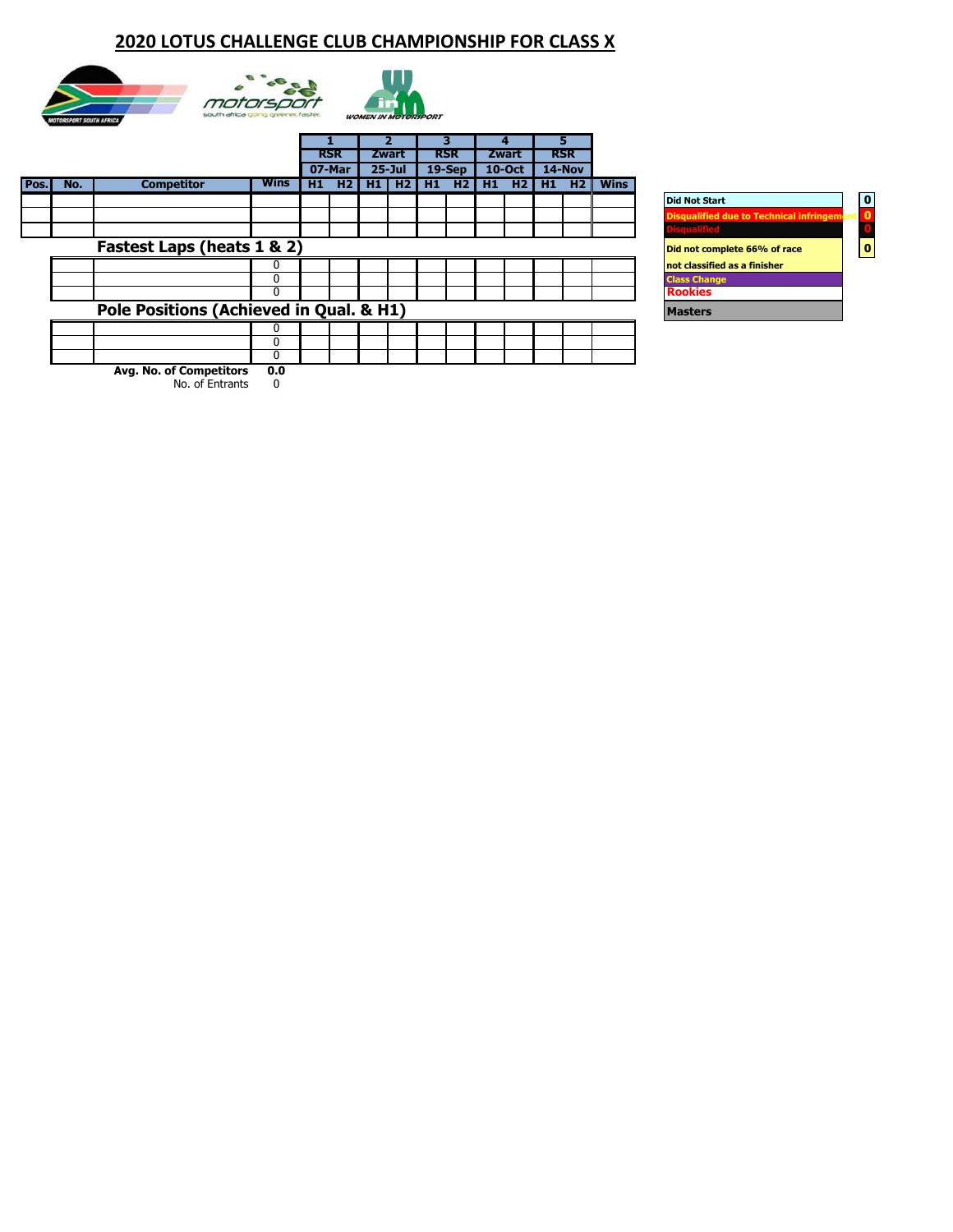# **2020 LOTUS CHALLENGE CLUB CHAMPIONSHIP FOR CLASS X**







**2**

T

|      |     |                                         |      |    |            |     |            |     | 7          |     |           | ٦  |                | 4           |                                                   | 5                        |  |  |  |
|------|-----|-----------------------------------------|------|----|------------|-----|------------|-----|------------|-----|-----------|----|----------------|-------------|---------------------------------------------------|--------------------------|--|--|--|
|      |     |                                         |      |    | <b>RSR</b> |     | Zwart      |     | <b>RSR</b> |     | Zwart     |    | <b>RSR</b>     |             |                                                   |                          |  |  |  |
|      |     |                                         |      |    | 07-Mar     |     | $25 - Jul$ |     | $19-$ Sep  |     | $10$ -Oct |    | 14-Nov         |             |                                                   |                          |  |  |  |
| Pos. | No. | <b>Competitor</b>                       | Wins | H1 | H2         | H1. | H2         | H1. | H2         | H1. | H2        | H1 | H <sub>2</sub> | <b>Wins</b> |                                                   |                          |  |  |  |
|      |     |                                         |      |    |            |     |            |     |            |     |           |    |                |             | <b>Did Not Start</b>                              | $\overline{\phantom{a}}$ |  |  |  |
|      |     |                                         |      |    |            |     |            |     |            |     |           |    |                |             | <b>Disqualified due to Technical infringement</b> |                          |  |  |  |
|      |     |                                         |      |    |            |     |            |     |            |     |           |    |                |             | <b><i><u>Alexandria Alexandria</u></i></b>        |                          |  |  |  |
|      |     | Fastest Laps (heats 1 & 2)              |      |    |            |     |            |     |            |     |           |    |                |             | Did not complete 66% of race                      | 0                        |  |  |  |
|      |     |                                         | n    |    |            |     |            |     |            |     |           |    |                |             | not classified as a finisher                      |                          |  |  |  |
|      |     |                                         | በ    |    |            |     |            |     |            |     |           |    |                |             | <b>Class Change</b>                               |                          |  |  |  |
|      |     |                                         |      |    |            |     |            |     |            |     |           |    |                |             | <b>Rookies</b>                                    |                          |  |  |  |
|      |     | Pole Positions (Achieved in Qual. & H1) |      |    |            |     |            |     |            |     |           |    |                |             | <b>Masters</b>                                    |                          |  |  |  |
|      |     |                                         |      |    |            |     |            |     |            |     |           |    |                |             |                                                   |                          |  |  |  |
|      |     |                                         | 0    |    |            |     |            |     |            |     |           |    |                |             |                                                   |                          |  |  |  |
|      |     |                                         | 0    |    |            |     |            |     |            |     |           |    |                |             |                                                   |                          |  |  |  |
|      |     | Avg. No. of Competitors                 | 0.0  |    |            |     |            |     |            |     |           |    |                |             |                                                   |                          |  |  |  |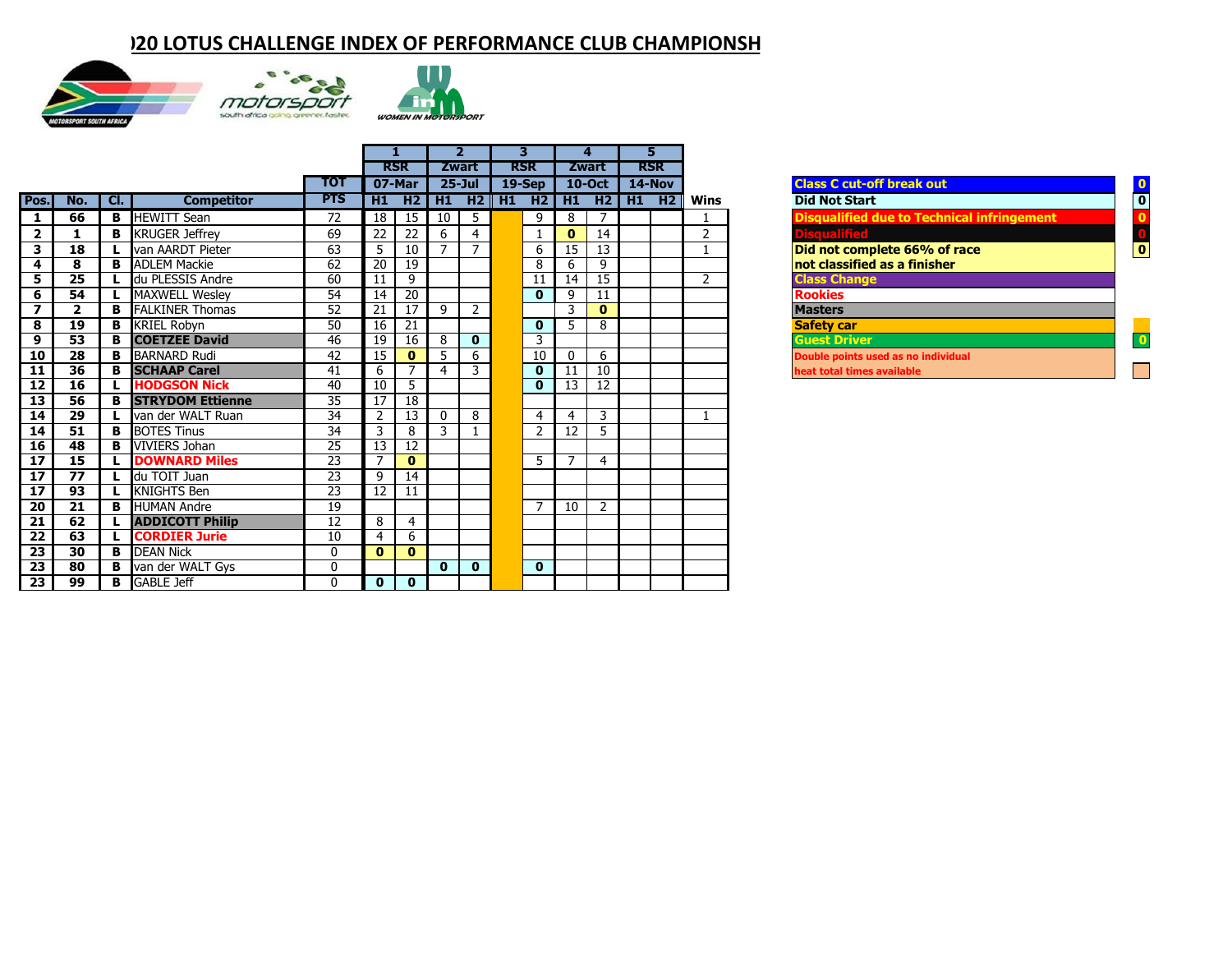# **20 LOTUS CHALLENGE INDEX OF PERFORMANCE CLUB CHAMPIONSH**







|                         |                         |     |                           |                 |                 |                 |                | $\overline{\phantom{a}}$ | 3                                                 |                 | 4               |                 | 5          |                |                                                         |  |
|-------------------------|-------------------------|-----|---------------------------|-----------------|-----------------|-----------------|----------------|--------------------------|---------------------------------------------------|-----------------|-----------------|-----------------|------------|----------------|---------------------------------------------------------|--|
|                         |                         |     |                           |                 |                 | <b>RSR</b>      |                | <b>Zwart</b>             | <b>RSR</b>                                        |                 | <b>Zwart</b>    |                 | <b>RSR</b> |                |                                                         |  |
|                         |                         |     |                           | <b>TOT</b>      |                 | 07-Mar          |                | $25 -$ Jul               | $19-$ Sep                                         |                 |                 | 10-Oct   14-Nov |            |                | <b>Class C cut-off break out</b>                        |  |
| Pos.                    | No.                     | Cl. | <b>Competitor</b>         | <b>PTS</b>      |                 |                 |                |                          | $H1$ $H2$ $H1$ $H2$ $H1$ $H2$ $H1$ $H2$ $H1$ $H2$ |                 |                 |                 |            | <b>Wins</b>    | <b>Did Not Start</b><br>$\overline{\mathbf{0}}$         |  |
| 1                       | 66                      | В   | <b>HEWITT Sean</b>        | 72              | 18              | 15              | 10             | 5                        | 9                                                 | 8               |                 |                 |            |                | <b>Disqualified due to Technical infringement</b>       |  |
| $\overline{2}$          |                         | В   | <b>KRUGER Jeffrey</b>     | 69              | 22              | 22              | 6              | $\overline{4}$           | 1                                                 | $\mathbf{0}$    | 14              |                 |            | $\overline{2}$ | <b>Disqualified</b>                                     |  |
| 3                       | 18                      |     | van AARDT Pieter          | 63              | 5               | 10              |                | $\overline{7}$           | 6                                                 | 15              | 13              |                 |            |                | $\overline{\mathbf{0}}$<br>Did not complete 66% of race |  |
| $\overline{\mathbf{4}}$ | 8                       |     | <b>B</b> ADLEM Mackie     | 62              | 20              | 19              |                |                          | 8                                                 | 6               | 9               |                 |            |                | $ $ not classified as a finisher                        |  |
| 5                       | 25                      |     | du PLESSIS Andre          | 60              | 11              | 9               |                |                          | 11                                                | 14              | $\overline{15}$ |                 |            | 2              | <b>Class Change</b>                                     |  |
| 6                       | 54                      |     | L MAXWELL Wesley          | $\overline{54}$ | 14              | $\overline{20}$ |                |                          | $\mathbf 0$                                       | 9               | 11              |                 |            |                | <b>Rookies</b>                                          |  |
| $\overline{7}$          | $\overline{\mathbf{2}}$ |     | <b>B FALKINER</b> Thomas  | 52              | 21              | 17              | 9              | $\overline{2}$           |                                                   | 3               | $\mathbf{0}$    |                 |            |                | <b>Masters</b>                                          |  |
| 8                       | 19                      |     | <b>B</b> KRIEL Robyn      | 50              | 16              | 21              |                |                          | $\mathbf 0$                                       | 5               | 8               |                 |            |                | <b>Safety car</b>                                       |  |
| 9                       | 53                      |     | <b>B</b> COETZEE David    | 46              | 19              | 16              | 8              | $\mathbf 0$              | 3                                                 |                 |                 |                 |            |                | <b>Guest Driver</b>                                     |  |
| 10                      | 28                      | B   | <b>BARNARD Rudi</b>       | 42              | 15              | $\mathbf{0}$    | 5              | 6                        | 10                                                | $\mathbf{0}$    | 6               |                 |            |                | Double points used as no individual                     |  |
| $\overline{11}$         | $\overline{36}$         | в   | <b>SCHAAP Carel</b>       | 41              | 6               | $\overline{7}$  | $\overline{4}$ | $\overline{3}$           | $\mathbf 0$                                       | $\overline{11}$ | $\overline{10}$ |                 |            |                | heat total times available                              |  |
| $\overline{12}$         | 16                      | L   | <b>HODGSON Nick</b>       | 40              | 10              | 5               |                |                          | $\mathbf 0$                                       | 13              | 12              |                 |            |                |                                                         |  |
| 13                      | 56                      |     | <b>B STRYDOM</b> Ettienne | 35              | 17              | 18              |                |                          |                                                   |                 |                 |                 |            |                |                                                         |  |
| $\overline{14}$         | 29                      | L.  | van der WALT Ruan         | 34              | $\overline{2}$  | 13              | 0              | 8                        | $\overline{4}$                                    | $\overline{4}$  | 3               |                 |            |                |                                                         |  |
| $\overline{14}$         | $\overline{51}$         | в   | <b>BOTES Tinus</b>        | $\overline{34}$ | 3               | 8               | 3              |                          | $\overline{2}$                                    | 12              | 5               |                 |            |                |                                                         |  |
| 16                      | 48                      |     | <b>B VIVIERS</b> Johan    | $\overline{25}$ | $\overline{13}$ | $\overline{12}$ |                |                          |                                                   |                 |                 |                 |            |                |                                                         |  |
| $\overline{17}$         | 15                      | L.  | <b>DOWNARD Miles</b>      | $\overline{23}$ |                 | $\mathbf{0}$    |                |                          | 5                                                 | $\overline{7}$  | $\overline{4}$  |                 |            |                |                                                         |  |
| $\overline{17}$         | 77                      | L.  | du TOIT Juan              | 23              | 9               | 14              |                |                          |                                                   |                 |                 |                 |            |                |                                                         |  |
| 17                      | 93                      |     | <b>KNIGHTS Ben</b>        | 23              | 12 <sup>1</sup> | 11              |                |                          |                                                   |                 |                 |                 |            |                |                                                         |  |
| 20                      | 21                      |     | <b>B</b> HUMAN Andre      | 19              |                 |                 |                |                          | $\overline{7}$                                    | 10              | $\overline{2}$  |                 |            |                |                                                         |  |
| 21                      | 62                      | L.  | <b>ADDICOTT Philip</b>    | 12              | 8               | $\overline{4}$  |                |                          |                                                   |                 |                 |                 |            |                |                                                         |  |
| $\overline{22}$         | 63                      | L.  | <b>CORDIER Jurie</b>      | 10              | 4               | 6               |                |                          |                                                   |                 |                 |                 |            |                |                                                         |  |
| 23                      | $\overline{30}$         |     | <b>B</b> DEAN Nick        | $\Omega$        | $\mathbf{0}$    | $\mathbf{0}$    |                |                          |                                                   |                 |                 |                 |            |                |                                                         |  |
| $\overline{23}$         | 80                      |     | <b>B</b> van der WALT Gys | $\Omega$        |                 |                 | $\mathbf{0}$   | $\mathbf{0}$             | $\mathbf{0}$                                      |                 |                 |                 |            |                |                                                         |  |
| $\overline{23}$         | 99                      |     | <b>B</b> GABLE Jeff       | 0               | $\mathbf{0}$    | $\mathbf{0}$    |                |                          |                                                   |                 |                 |                 |            |                |                                                         |  |

| <b>Class C cut-off break out</b>                  |                                                   |
|---------------------------------------------------|---------------------------------------------------|
| <b>Did Not Start</b>                              | 0                                                 |
| <b>Disqualified due to Technical infringement</b> | O                                                 |
| <b>Disqualified</b>                               | $\begin{array}{c} \bullet \\ \bullet \end{array}$ |
| Did not complete 66% of race                      |                                                   |
| not classified as a finisher                      |                                                   |
| <b>Class Change</b>                               |                                                   |
| <b>Rookies</b>                                    |                                                   |
| <b>Masters</b>                                    |                                                   |
| <b>Safety car</b>                                 |                                                   |
| <b>Guest Driver</b>                               |                                                   |
| Double points used as no individual               |                                                   |
| heat total times available                        |                                                   |